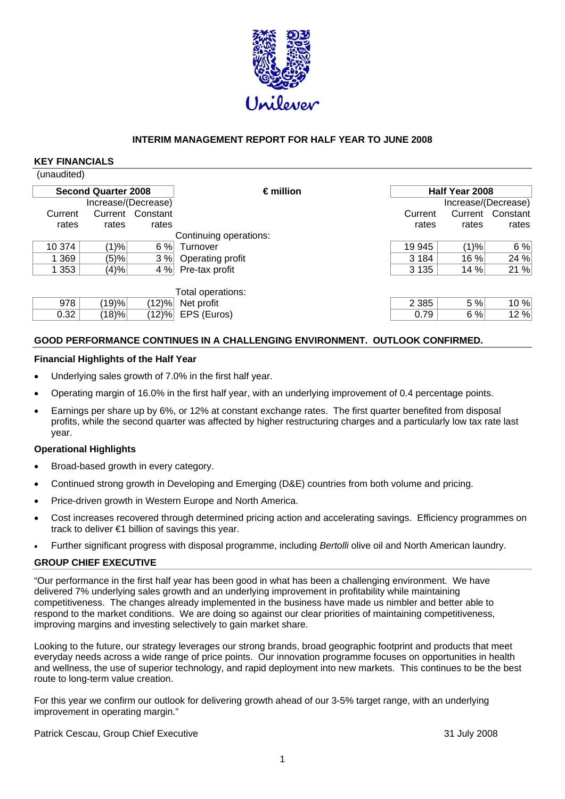

## **INTERIM MANAGEMENT REPORT FOR HALF YEAR TO JUNE 2008**

#### **KEY FINANCIALS**   $\overline{\mathbf{u}_{\mathsf{non}}^{\mathsf{un}}$

|              | <b>Second Quarter 2008</b> |                  | $\epsilon$ million     |         | Half Year 2008 |                     |
|--------------|----------------------------|------------------|------------------------|---------|----------------|---------------------|
|              | Increase/(Decrease)        |                  |                        |         |                | Increase/(Decrease) |
| Current      |                            | Current Constant |                        | Current |                | Current Constant    |
| rates        | rates                      | rates            |                        | rates   | rates          | rates               |
|              |                            |                  | Continuing operations: |         |                |                     |
| 10 374       | $(1)\%$                    | 6%               | Turnover               | 19 945  | (1)%           | 6%                  |
| $\sqrt{369}$ | (5)%                       | 3%               | Operating profit       | 3 1 8 4 | 16 %           | 24 %                |
| 1 353        | (4)%                       | 4%               | Pre-tax profit         | 3 1 3 5 | 14 %           | 21%                 |
|              |                            |                  | Total operations:      |         |                |                     |
| 978          | $ 19\rangle\% $            | $(12)\%$         | Net profit             | 2 3 8 5 | 5 %            | 10%                 |
| 0.32         | $(18) \%$                  | (12)%            | EPS (Euros)            | 0.79    | 6%             | 12%                 |

## **GOOD PERFORMANCE CONTINUES IN A CHALLENGING ENVIRONMENT. OUTLOOK CONFIRMED.**

#### **Financial Highlights of the Half Year**

- Underlying sales growth of 7.0% in the first half year.
- Operating margin of 16.0% in the first half year, with an underlying improvement of 0.4 percentage points.
- Earnings per share up by 6%, or 12% at constant exchange rates. The first quarter benefited from disposal profits, while the second quarter was affected by higher restructuring charges and a particularly low tax rate last year.

#### **Operational Highlights**

- Broad-based growth in every category.
- Continued strong growth in Developing and Emerging (D&E) countries from both volume and pricing.
- Price-driven growth in Western Europe and North America.
- Cost increases recovered through determined pricing action and accelerating savings. Efficiency programmes on track to deliver €1 billion of savings this year.
- Further significant progress with disposal programme, including *Bertolli* olive oil and North American laundry.

## **GROUP CHIEF EXECUTIVE**

improving margins and investing selectively to gain market share. "Our performance in the first half year has been good in what has been a challenging environment. We have delivered 7% underlying sales growth and an underlying improvement in profitability while maintaining competitiveness. The changes already implemented in the business have made us nimbler and better able to respond to the market conditions. We are doing so against our clear priorities of maintaining competitiveness,

Looking to the future, our strategy leverages our strong brands, broad geographic footprint and products that meet everyday needs across a wide range of price points. Our innovation programme focuses on opportunities in health and wellness, the use of superior technology, and rapid deployment into new markets. This continues to be the best route to long-term value creation.

For this year we confirm our outlook for delivering growth ahead of our 3-5% target range, with an underlying improvement in operating margin."

Patrick Cescau, Group Chief Executive 31 July 2008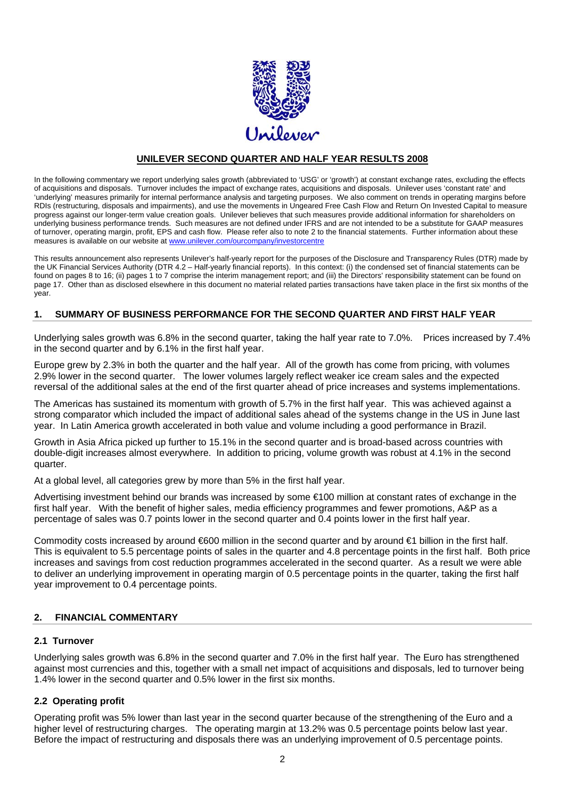

## **UNILEVER SECOND QUARTER AND HALF YEAR RESULTS 2008**

In the following commentary we report underlying sales growth (abbreviated to 'USG' or 'growth') at constant exchange rates, excluding the effects of acquisitions and disposals. Turnover includes the impact of exchange rates, acquisitions and disposals. Unilever uses 'constant rate' and 'underlying' measures primarily for internal performance analysis and targeting purposes. We also comment on trends in operating margins before RDIs (restructuring, disposals and impairments), and use the movements in Ungeared Free Cash Flow and Return On Invested Capital to measure progress against our longer-term value creation goals. Unilever believes that such measures provide additional information for shareholders on underlying business performance trends. Such measures are not defined under IFRS and are not intended to be a substitute for GAAP measures of turnover, operating margin, profit, EPS and cash flow. Please refer also to note 2 to the financial statements. Further information about these measures is available on our website at www.unilever.com/ourcompany/investorcentre

This results announcement also represents Unilever's half-yearly report for the purposes of the Disclosure and Transparency Rules (DTR) made by the UK Financial Services Authority (DTR 4.2 – Half-yearly financial reports). In this context: (i) the condensed set of financial statements can be found on pages 8 to 16; (ii) pages 1 to 7 comprise the interim management report; and (iii) the Directors' responsibility statement can be found on page 17. Other than as disclosed elsewhere in this document no material related parties transactions have taken place in the first six months of the year.

## **1. SUMMARY OF BUSINESS PERFORMANCE FOR THE SECOND QUARTER AND FIRST HALF YEAR**

Underlying sales growth was 6.8% in the second quarter, taking the half year rate to 7.0%. Prices increased by 7.4% in the second quarter and by 6.1% in the first half year.

Europe grew by 2.3% in both the quarter and the half year. All of the growth has come from pricing, with volumes 2.9% lower in the second quarter. The lower volumes largely reflect weaker ice cream sales and the expected reversal of the additional sales at the end of the first quarter ahead of price increases and systems implementations.

The Americas has sustained its momentum with growth of 5.7% in the first half year. This was achieved against a strong comparator which included the impact of additional sales ahead of the systems change in the US in June last year. In Latin America growth accelerated in both value and volume including a good performance in Brazil.

Growth in Asia Africa picked up further to 15.1% in the second quarter and is broad-based across countries with double-digit increases almost everywhere. In addition to pricing, volume growth was robust at 4.1% in the second quarter.

At a global level, all categories grew by more than 5% in the first half year.

Advertising investment behind our brands was increased by some €100 million at constant rates of exchange in the first half year. With the benefit of higher sales, media efficiency programmes and fewer promotions, A&P as a percentage of sales was 0.7 points lower in the second quarter and 0.4 points lower in the first half year.

Commodity costs increased by around €600 million in the second quarter and by around €1 billion in the first half. This is equivalent to 5.5 percentage points of sales in the quarter and 4.8 percentage points in the first half. Both price increases and savings from cost reduction programmes accelerated in the second quarter. As a result we were able to deliver an underlying improvement in operating margin of 0.5 percentage points in the quarter, taking the first half year improvement to 0.4 percentage points.

## **2. FINANCIAL COMMENTARY**

#### **2.1 Turnover**

Underlying sales growth was 6.8% in the second quarter and 7.0% in the first half year. The Euro has strengthened against most currencies and this, together with a small net impact of acquisitions and disposals, led to turnover being 1.4% lower in the second quarter and 0.5% lower in the first six months.

#### **2.2 Operating profit**

Operating profit was 5% lower than last year in the second quarter because of the strengthening of the Euro and a higher level of restructuring charges. The operating margin at 13.2% was 0.5 percentage points below last year. Before the impact of restructuring and disposals there was an underlying improvement of 0.5 percentage points.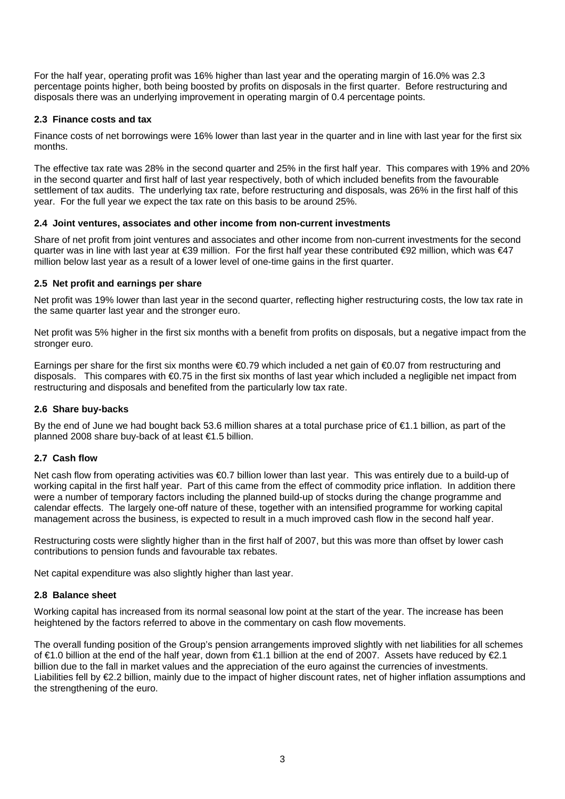For the half year, operating profit was 16% higher than last year and the operating margin of 16.0% was 2.3 percentage points higher, both being boosted by profits on disposals in the first quarter. Before restructuring and disposals there was an underlying improvement in operating margin of 0.4 percentage points.

## **2.3 Finance costs and tax**

Finance costs of net borrowings were 16% lower than last year in the quarter and in line with last year for the first six months.

The effective tax rate was 28% in the second quarter and 25% in the first half year. This compares with 19% and 20% in the second quarter and first half of last year respectively, both of which included benefits from the favourable settlement of tax audits. The underlying tax rate, before restructuring and disposals, was 26% in the first half of this year. For the full year we expect the tax rate on this basis to be around 25%.

## **2.4 Joint ventures, associates and other income from non-current investments**

Share of net profit from joint ventures and associates and other income from non-current investments for the second quarter was in line with last year at €39 million. For the first half year these contributed €92 million, which was €47 million below last year as a result of a lower level of one-time gains in the first quarter.

#### **2.5 Net profit and earnings per share**

Net profit was 19% lower than last year in the second quarter, reflecting higher restructuring costs, the low tax rate in the same quarter last year and the stronger euro.

Net profit was 5% higher in the first six months with a benefit from profits on disposals, but a negative impact from the stronger euro.

Earnings per share for the first six months were €0.79 which included a net gain of €0.07 from restructuring and disposals. This compares with €0.75 in the first six months of last year which included a negligible net impact from restructuring and disposals and benefited from the particularly low tax rate.

## **2.6 Share buy-backs**

By the end of June we had bought back 53.6 million shares at a total purchase price of €1.1 billion, as part of the planned 2008 share buy-back of at least €1.5 billion.

## **2.7 Cash flow**

Net cash flow from operating activities was €0.7 billion lower than last year. This was entirely due to a build-up of working capital in the first half year. Part of this came from the effect of commodity price inflation. In addition there were a number of temporary factors including the planned build-up of stocks during the change programme and calendar effects. The largely one-off nature of these, together with an intensified programme for working capital management across the business, is expected to result in a much improved cash flow in the second half year.

Restructuring costs were slightly higher than in the first half of 2007, but this was more than offset by lower cash contributions to pension funds and favourable tax rebates.

Net capital expenditure was also slightly higher than last year.

#### **2.8 Balance sheet**

Working capital has increased from its normal seasonal low point at the start of the year. The increase has been heightened by the factors referred to above in the commentary on cash flow movements.

The overall funding position of the Group's pension arrangements improved slightly with net liabilities for all schemes of €1.0 billion at the end of the half year, down from €1.1 billion at the end of 2007. Assets have reduced by €2.1 billion due to the fall in market values and the appreciation of the euro against the currencies of investments. Liabilities fell by €2.2 billion, mainly due to the impact of higher discount rates, net of higher inflation assumptions and the strengthening of the euro.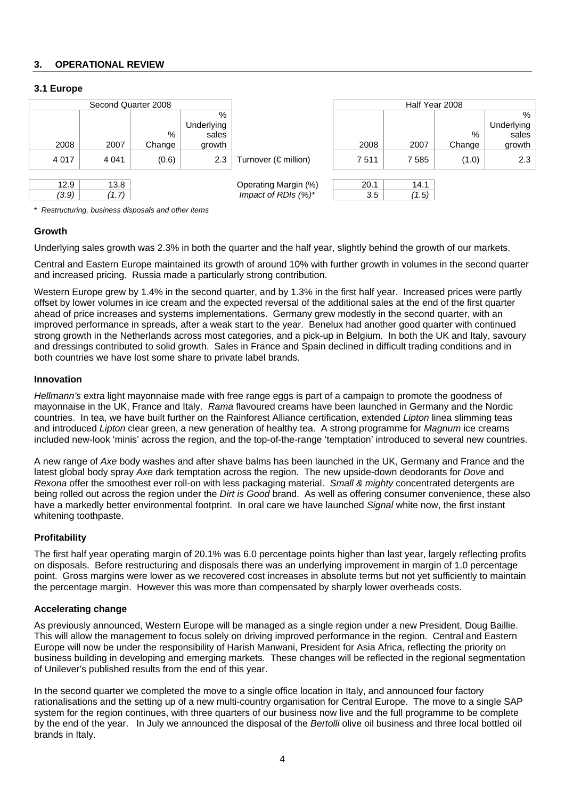## **3. OPERATIONAL REVIEW**

## **3.1 Europe**

| Second Quarter 2008 |         |        |            |                              | Half Year 2008 |       |        |            |
|---------------------|---------|--------|------------|------------------------------|----------------|-------|--------|------------|
|                     |         |        | %          |                              |                |       |        | %          |
|                     |         |        | Underlying |                              |                |       |        | Underlying |
|                     |         | %      | sales      |                              |                |       | %      | sales      |
| 2008                | 2007    | Change | growth     |                              | 2008           | 2007  | Change | growth     |
| 4 0 1 7             | 4 0 4 1 | (0.6)  | 2.3        | Turnover ( $\notin$ million) | 7511           | 7585  | (1.0)  | 2.3        |
|                     |         |        |            |                              |                |       |        |            |
| 12.9                | 13.8    |        |            | Operating Margin (%)         | 20.1           | 14.1  |        |            |
| (3.9)               | (1.7)   |        |            | Impact of RDIs $(%)^*$       | 3.5            | (1.5) |        |            |

\* *Restructuring, business disposals and other items* 

## **Growth**

Underlying sales growth was 2.3% in both the quarter and the half year, slightly behind the growth of our markets.

Central and Eastern Europe maintained its growth of around 10% with further growth in volumes in the second quarter and increased pricing. Russia made a particularly strong contribution.

Western Europe grew by 1.4% in the second quarter, and by 1.3% in the first half year. Increased prices were partly offset by lower volumes in ice cream and the expected reversal of the additional sales at the end of the first quarter ahead of price increases and systems implementations. Germany grew modestly in the second quarter, with an improved performance in spreads, after a weak start to the year. Benelux had another good quarter with continued strong growth in the Netherlands across most categories, and a pick-up in Belgium. In both the UK and Italy, savoury and dressings contributed to solid growth. Sales in France and Spain declined in difficult trading conditions and in both countries we have lost some share to private label brands.

## **Innovation**

*Hellmann's* extra light mayonnaise made with free range eggs is part of a campaign to promote the goodness of mayonnaise in the UK, France and Italy. *Rama* flavoured creams have been launched in Germany and the Nordic countries. In tea, we have built further on the Rainforest Alliance certification, extended *Lipton* linea slimming teas and introduced *Lipton* clear green, a new generation of healthy tea. A strong programme for *Magnum* ice creams included new-look 'minis' across the region, and the top-of-the-range 'temptation' introduced to several new countries.

A new range of *Axe* body washes and after shave balms has been launched in the UK, Germany and France and the latest global body spray *Axe* dark temptation across the region. The new upside-down deodorants for *Dove* and *Rexona* offer the smoothest ever roll-on with less packaging material. *Small & mighty* concentrated detergents are being rolled out across the region under the *Dirt is Good* brand. As well as offering consumer convenience, these also have a markedly better environmental footprint. In oral care we have launched *Signal* white now, the first instant whitening toothpaste.

## **Profitability**

 point. Gross margins were lower as we recovered cost increases in absolute terms but not yet sufficiently to maintain The first half year operating margin of 20.1% was 6.0 percentage points higher than last year, largely reflecting profits on disposals. Before restructuring and disposals there was an underlying improvement in margin of 1.0 percentage the percentage margin. However this was more than compensated by sharply lower overheads costs.

## **Accelerating change**

As previously announced, Western Europe will be managed as a single region under a new President, Doug Baillie. This will allow the management to focus solely on driving improved performance in the region. Central and Eastern Europe will now be under the responsibility of Harish Manwani, President for Asia Africa, reflecting the priority on business building in developing and emerging markets. These changes will be reflected in the regional segmentation of Unilever's published results from the end of this year.

In the second quarter we completed the move to a single office location in Italy, and announced four factory rationalisations and the setting up of a new multi-country organisation for Central Europe. The move to a single SAP system for the region continues, with three quarters of our business now live and the full programme to be complete by the end of the year. In July we announced the disposal of the *Bertolli* olive oil business and three local bottled oil brands in Italy.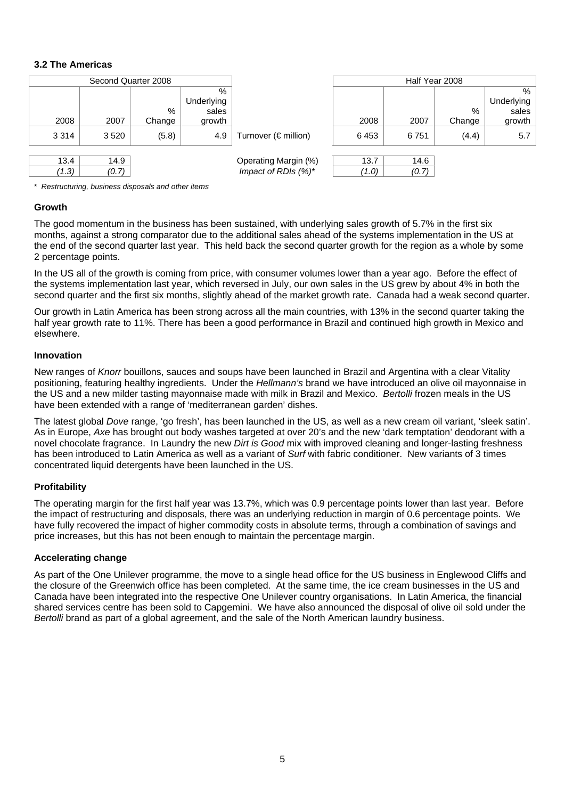## **3.2 The Americas**

|         |       | Second Quarter 2008 |            |                              |       |       | Half Year 2008 |            |
|---------|-------|---------------------|------------|------------------------------|-------|-------|----------------|------------|
|         |       |                     | %          |                              |       |       |                | %          |
|         |       |                     | Underlying |                              |       |       |                | Underlying |
|         |       | %                   | sales      |                              |       |       | %              | sales      |
| 2008    | 2007  | Change              | growth     |                              | 2008  | 2007  | Change         | growth     |
| 3 3 1 4 | 3520  | (5.8)               | 4.9        | Turnover ( $\notin$ million) | 6453  | 6751  | (4.4)          | 5.7        |
|         |       |                     |            |                              |       |       |                |            |
| 13.4    | 14.9  |                     |            | Operating Margin (%)         | 13.7  | 14.6  |                |            |
| (1.3)   | (0.7) |                     |            | Impact of RDIs (%)*          | (1.0) | (0.7) |                |            |

\* *Restructuring, business disposals and other items* 

#### **Growth**

The good momentum in the business has been sustained, with underlying sales growth of 5.7% in the first six months, against a strong comparator due to the additional sales ahead of the systems implementation in the US at the end of the second quarter last year. This held back the second quarter growth for the region as a whole by some 2 percentage points.

In the US all of the growth is coming from price, with consumer volumes lower than a year ago. Before the effect of the systems implementation last year, which reversed in July, our own sales in the US grew by about 4% in both the second quarter and the first six months, slightly ahead of the market growth rate. Canada had a weak second quarter.

Our growth in Latin America has been strong across all the main countries, with 13% in the second quarter taking the half year growth rate to 11%. There has been a good performance in Brazil and continued high growth in Mexico and elsewhere.

#### **Innovation**

 the US and a new milder tasting mayonnaise made with milk in Brazil and Mexico. *Bertolli* frozen meals in the US New ranges of *Knorr* bouillons, sauces and soups have been launched in Brazil and Argentina with a clear Vitality positioning, featuring healthy ingredients. Under the *Hellmann's* brand we have introduced an olive oil mayonnaise in have been extended with a range of 'mediterranean garden' dishes.

The latest global *Dove* range, 'go fresh', has been launched in the US, as well as a new cream oil variant, 'sleek satin'. As in Europe, *Axe* has brought out body washes targeted at over 20's and the new 'dark temptation' deodorant with a novel chocolate fragrance. In Laundry the new *Dirt is Good* mix with improved cleaning and longer-lasting freshness has been introduced to Latin America as well as a variant of *Surf* with fabric conditioner. New variants of 3 times concentrated liquid detergents have been launched in the US.

## **Profitability**

The operating margin for the first half year was 13.7%, which was 0.9 percentage points lower than last year. Before the impact of restructuring and disposals, there was an underlying reduction in margin of 0.6 percentage points. We have fully recovered the impact of higher commodity costs in absolute terms, through a combination of savings and price increases, but this has not been enough to maintain the percentage margin.

## **Accelerating change**

As part of the One Unilever programme, the move to a single head office for the US business in Englewood Cliffs and the closure of the Greenwich office has been completed. At the same time, the ice cream businesses in the US and Canada have been integrated into the respective One Unilever country organisations. In Latin America, the financial shared services centre has been sold to Capgemini. We have also announced the disposal of olive oil sold under the *Bertolli* brand as part of a global agreement, and the sale of the North American laundry business.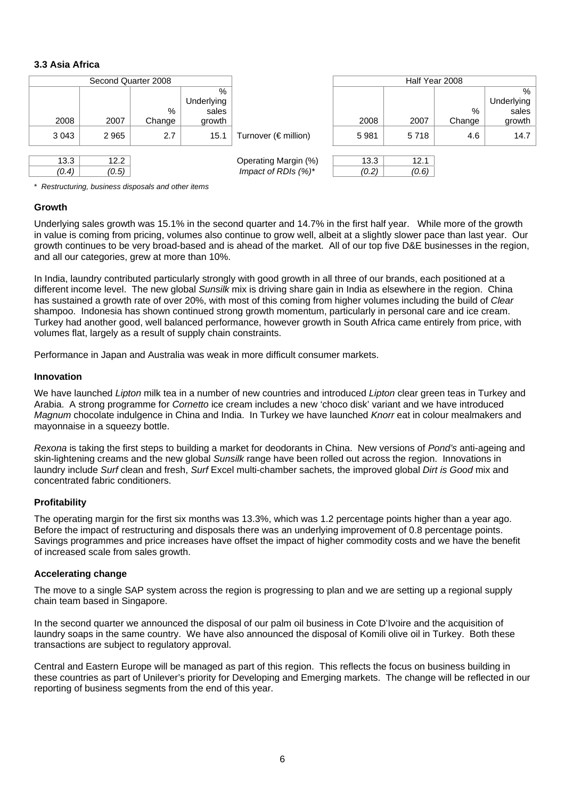## **3.3 Asia Africa**

| Second Quarter 2008 |       |        |            |                              |       | Half Year 2008 |        |            |
|---------------------|-------|--------|------------|------------------------------|-------|----------------|--------|------------|
|                     |       |        | %          |                              |       |                |        | %          |
|                     |       |        | Underlying |                              |       |                |        | Underlying |
|                     |       | %      | sales      |                              |       |                | $\%$   | sales      |
| 2008                | 2007  | Change | growth     |                              | 2008  | 2007           | Change | growth     |
| 3 0 4 3             | 2965  | 2.7    | 15.1       | Turnover ( $\notin$ million) | 5981  | 5718           | 4.6    | 14.7       |
|                     |       |        |            |                              |       |                |        |            |
| 13.3                | 12.2  |        |            | Operating Margin (%)         | 13.3  | 12.1           |        |            |
| (0.4)               | (0.5) |        |            | Impact of RDIs $(%)^*$       | (0.2) | (0.6)          |        |            |

\* *Restructuring, business disposals and other items* 

## **Growth**

Underlying sales growth was 15.1% in the second quarter and 14.7% in the first half year. While more of the growth in value is coming from pricing, volumes also continue to grow well, albeit at a slightly slower pace than last year. Our growth continues to be very broad-based and is ahead of the market. All of our top five D&E businesses in the region, and all our categories, grew at more than 10%.

In India, laundry contributed particularly strongly with good growth in all three of our brands, each positioned at a different income level. The new global *Sunsilk* mix is driving share gain in India as elsewhere in the region. China has sustained a growth rate of over 20%, with most of this coming from higher volumes including the build of *Clear*  shampoo. Indonesia has shown continued strong growth momentum, particularly in personal care and ice cream. Turkey had another good, well balanced performance, however growth in South Africa came entirely from price, with volumes flat, largely as a result of supply chain constraints.

Performance in Japan and Australia was weak in more difficult consumer markets.

#### **Innovation**

We have launched *Lipton* milk tea in a number of new countries and introduced *Lipton* clear green teas in Turkey and Arabia. A strong programme for *Cornetto* ice cream includes a new 'choco disk' variant and we have introduced *Magnum* chocolate indulgence in China and India. In Turkey we have launched *Knorr* eat in colour mealmakers and mayonnaise in a squeezy bottle.

*Rexona* is taking the first steps to building a market for deodorants in China. New versions of *Pond's* anti-ageing and skin-lightening creams and the new global *Sunsilk* range have been rolled out across the region. Innovations in laundry include *Surf* clean and fresh, *Surf* Excel multi-chamber sachets, the improved global *Dirt is Good* mix and concentrated fabric conditioners.

## **Profitability**

The operating margin for the first six months was 13.3%, which was 1.2 percentage points higher than a year ago. Before the impact of restructuring and disposals there was an underlying improvement of 0.8 percentage points. Savings programmes and price increases have offset the impact of higher commodity costs and we have the benefit of increased scale from sales growth.

#### **Accelerating change**

The move to a single SAP system across the region is progressing to plan and we are setting up a regional supply chain team based in Singapore.

In the second quarter we announced the disposal of our palm oil business in Cote D'Ivoire and the acquisition of laundry soaps in the same country. We have also announced the disposal of Komili olive oil in Turkey. Both these transactions are subject to regulatory approval.

Central and Eastern Europe will be managed as part of this region. This reflects the focus on business building in these countries as part of Unilever's priority for Developing and Emerging markets. The change will be reflected in our reporting of business segments from the end of this year.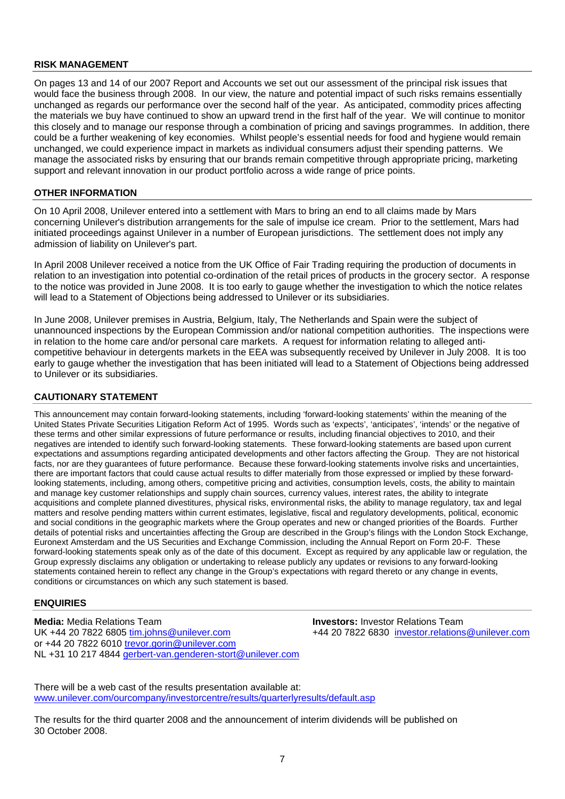#### **RISK MANAGEMENT**

On pages 13 and 14 of our 2007 Report and Accounts we set out our assessment of the principal risk issues that would face the business through 2008. In our view, the nature and potential impact of such risks remains essentially unchanged as regards our performance over the second half of the year. As anticipated, commodity prices affecting the materials we buy have continued to show an upward trend in the first half of the year. We will continue to monitor this closely and to manage our response through a combination of pricing and savings programmes. In addition, there could be a further weakening of key economies. Whilst people's essential needs for food and hygiene would remain unchanged, we could experience impact in markets as individual consumers adjust their spending patterns. We manage the associated risks by ensuring that our brands remain competitive through appropriate pricing, marketing support and relevant innovation in our product portfolio across a wide range of price points.

#### **OTHER INFORMATION**

On 10 April 2008, Unilever entered into a settlement with Mars to bring an end to all claims made by Mars concerning Unilever's distribution arrangements for the sale of impulse ice cream. Prior to the settlement, Mars had initiated proceedings against Unilever in a number of European jurisdictions. The settlement does not imply any admission of liability on Unilever's part.

In April 2008 Unilever received a notice from the UK Office of Fair Trading requiring the production of documents in relation to an investigation into potential co-ordination of the retail prices of products in the grocery sector. A response to the notice was provided in June 2008. It is too early to gauge whether the investigation to which the notice relates will lead to a Statement of Objections being addressed to Unilever or its subsidiaries.

In June 2008, Unilever premises in Austria, Belgium, Italy, The Netherlands and Spain were the subject of unannounced inspections by the European Commission and/or national competition authorities. The inspections were in relation to the home care and/or personal care markets. A request for information relating to alleged anticompetitive behaviour in detergents markets in the EEA was subsequently received by Unilever in July 2008. It is too early to gauge whether the investigation that has been initiated will lead to a Statement of Objections being addressed to Unilever or its subsidiaries.

## **CAUTIONARY STATEMENT**

 Euronext Amsterdam and the US Securities and Exchange Commission, including the Annual Report on Form 20-F. These This announcement may contain forward-looking statements, including 'forward-looking statements' within the meaning of the United States Private Securities Litigation Reform Act of 1995. Words such as 'expects', 'anticipates', 'intends' or the negative of these terms and other similar expressions of future performance or results, including financial objectives to 2010, and their negatives are intended to identify such forward-looking statements. These forward-looking statements are based upon current expectations and assumptions regarding anticipated developments and other factors affecting the Group. They are not historical facts, nor are they guarantees of future performance. Because these forward-looking statements involve risks and uncertainties, there are important factors that could cause actual results to differ materially from those expressed or implied by these forwardlooking statements, including, among others, competitive pricing and activities, consumption levels, costs, the ability to maintain and manage key customer relationships and supply chain sources, currency values, interest rates, the ability to integrate acquisitions and complete planned divestitures, physical risks, environmental risks, the ability to manage regulatory, tax and legal matters and resolve pending matters within current estimates, legislative, fiscal and regulatory developments, political, economic and social conditions in the geographic markets where the Group operates and new or changed priorities of the Boards. Further details of potential risks and uncertainties affecting the Group are described in the Group's filings with the London Stock Exchange, forward-looking statements speak only as of the date of this document. Except as required by any applicable law or regulation, the Group expressly disclaims any obligation or undertaking to release publicly any updates or revisions to any forward-looking statements contained herein to reflect any change in the Group's expectations with regard thereto or any change in events, conditions or circumstances on which any such statement is based.

#### **ENQUIRIES**

**Media:** Media Relations Team **Investors:** Investor Relations Team UK +44 20 7822 6805 tim.johns@unilever.com +44 20 7822 6830 investor.relations@unilever.com or +44 20 7822 6010 trevor.gorin@unilever.com NL +31 10 217 4844 gerbert-van.genderen-stort@unilever.com

There will be a web cast of the results presentation available at: www.unilever.com/ourcompany/investorcentre/results/quarterlyresults/default.asp

The results for the third quarter 2008 and the announcement of interim dividends will be published on 30 October 2008.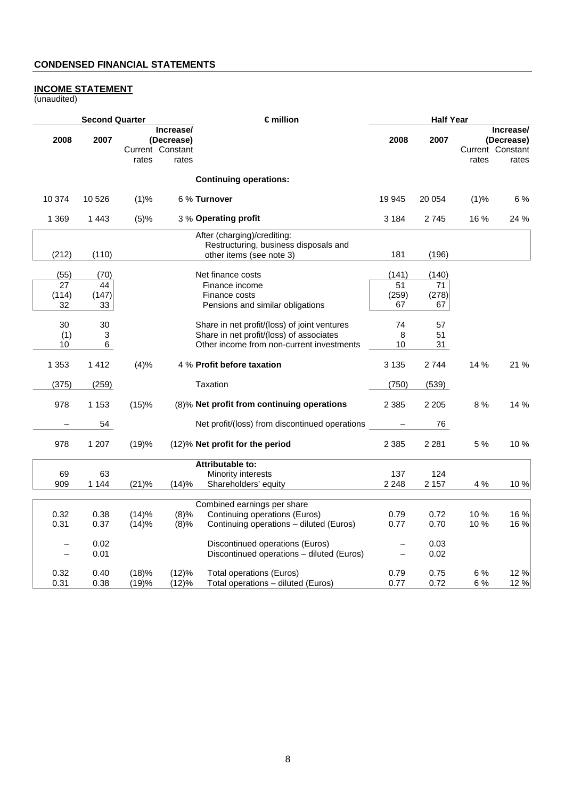#### **INCOME STATEMENT**

(unaudited)

|            | <b>Second Quarter</b> |                           |                                  | €million                                                                                         | <b>Half Year</b>         |             |       |                                                      |
|------------|-----------------------|---------------------------|----------------------------------|--------------------------------------------------------------------------------------------------|--------------------------|-------------|-------|------------------------------------------------------|
| 2008       | 2007                  | Current Constant<br>rates | Increase/<br>(Decrease)<br>rates |                                                                                                  | 2008                     | 2007        | rates | Increase/<br>(Decrease)<br>Current Constant<br>rates |
|            |                       |                           |                                  | <b>Continuing operations:</b>                                                                    |                          |             |       |                                                      |
| 10 374     | 10 5 26               | (1)%                      |                                  | 6 % Turnover                                                                                     | 19 945                   | 20 054      | (1)%  | 6 %                                                  |
| 1 3 6 9    | 1443                  | (5)%                      |                                  | 3 % Operating profit                                                                             | 3 1 8 4                  | 2745        | 16 %  | 24 %                                                 |
| (212)      | (110)                 |                           |                                  | After (charging)/crediting:<br>Restructuring, business disposals and<br>other items (see note 3) | 181                      | (196)       |       |                                                      |
|            |                       |                           |                                  |                                                                                                  |                          |             |       |                                                      |
| (55)<br>27 | (70)<br>44            |                           |                                  | Net finance costs<br>Finance income                                                              | (141)<br>51              | (140)<br>71 |       |                                                      |
| (114)      | (147)                 |                           |                                  | Finance costs                                                                                    | (259)                    | (278)       |       |                                                      |
| 32         | 33                    |                           |                                  | Pensions and similar obligations                                                                 | 67                       | 67          |       |                                                      |
| 30         | 30                    |                           |                                  | Share in net profit/(loss) of joint ventures                                                     | 74                       | 57          |       |                                                      |
| (1)        | 3                     |                           |                                  | Share in net profit/(loss) of associates                                                         | 8                        | 51          |       |                                                      |
| 10         | 6                     |                           |                                  | Other income from non-current investments                                                        | 10                       | 31          |       |                                                      |
| 1 3 5 3    | 1 4 1 2               | (4)%                      |                                  | 4 % Profit before taxation                                                                       | 3 1 3 5                  | 2744        | 14 %  | 21 %                                                 |
| (375)      | (259)                 |                           |                                  | Taxation                                                                                         | (750)                    | (539)       |       |                                                      |
| 978        | 1 1 5 3               | (15)%                     |                                  | (8)% Net profit from continuing operations                                                       | 2 3 8 5                  | 2 2 0 5     | 8 %   | 14 %                                                 |
|            | 54                    |                           |                                  | Net profit/(loss) from discontinued operations                                                   |                          | 76          |       |                                                      |
| 978        | 1 207                 | (19)%                     |                                  | (12)% Net profit for the period                                                                  | 2 3 8 5                  | 2 2 8 1     | 5 %   | 10%                                                  |
|            |                       |                           |                                  | <b>Attributable to:</b>                                                                          |                          |             |       |                                                      |
| 69         | 63                    |                           |                                  | Minority interests                                                                               | 137                      | 124         |       |                                                      |
| 909        | 1 1 4 4               | (21)%                     | (14)%                            | Shareholders' equity                                                                             | 2 2 4 8                  | 2 1 5 7     | 4 %   | 10 %                                                 |
|            |                       |                           |                                  | Combined earnings per share                                                                      |                          |             |       |                                                      |
| 0.32       | 0.38                  | (14)%                     | (8)%                             | Continuing operations (Euros)                                                                    | 0.79                     | 0.72        | 10%   | 16 %                                                 |
| 0.31       | 0.37                  | (14)%                     | (8)%                             | Continuing operations - diluted (Euros)                                                          | 0.77                     | 0.70        | 10%   | 16 %                                                 |
|            | 0.02                  |                           |                                  | Discontinued operations (Euros)                                                                  |                          | 0.03        |       |                                                      |
|            | 0.01                  |                           |                                  | Discontinued operations - diluted (Euros)                                                        | $\overline{\phantom{0}}$ | 0.02        |       |                                                      |
| 0.32       | 0.40                  | (18)%                     | (12)%                            | <b>Total operations (Euros)</b>                                                                  | 0.79                     | 0.75        | 6%    | 12 %                                                 |
| 0.31       | 0.38                  | (19)%                     | (12)%                            | Total operations - diluted (Euros)                                                               | 0.77                     | 0.72        | 6 %   | 12 %                                                 |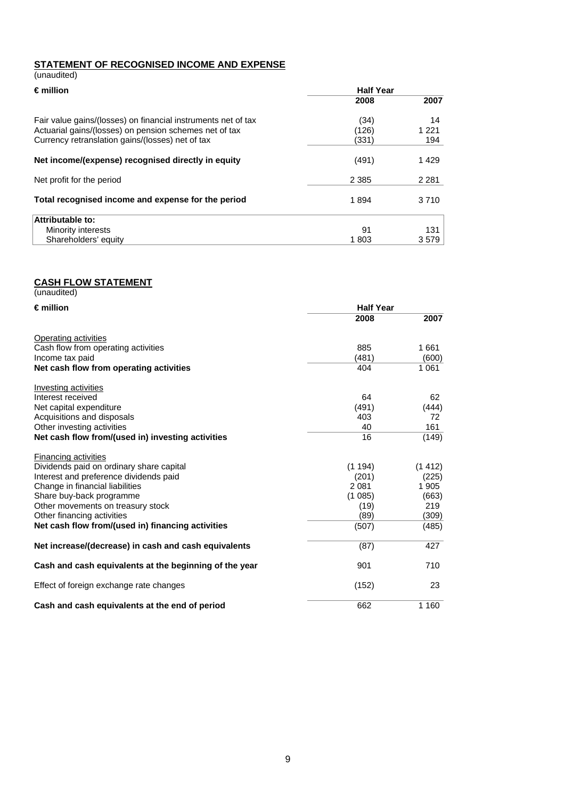## **STATEMENT OF RECOGNISED INCOME AND EXPENSE**  (unaudited)

| $\epsilon$ million                                            | <b>Half Year</b> |         |
|---------------------------------------------------------------|------------------|---------|
|                                                               | 2008             | 2007    |
| Fair value gains/(losses) on financial instruments net of tax | (34)             | 14      |
| Actuarial gains/(losses) on pension schemes net of tax        | (126)            | 1 2 2 1 |
| Currency retranslation gains/(losses) net of tax              | (331)            | 194     |
| Net income/(expense) recognised directly in equity            | (491)            | 1429    |
| Net profit for the period                                     | 2 3 8 5          | 2 2 8 1 |
| Total recognised income and expense for the period            | 1894             | 3710    |
| Attributable to:                                              |                  |         |
| Minority interests                                            | 91               | 131     |
| Shareholders' equity                                          | 1803             | 3579    |

#### **CASH FLOW STATEMENT**

(unaudited)

| $\epsilon$ million                                     | <b>Half Year</b> |         |
|--------------------------------------------------------|------------------|---------|
|                                                        | 2008             | 2007    |
| <b>Operating activities</b>                            |                  |         |
| Cash flow from operating activities                    | 885              | 1661    |
| Income tax paid                                        | (481)            | (600)   |
| Net cash flow from operating activities                | 404              | 1 0 6 1 |
| Investing activities                                   |                  |         |
| Interest received                                      | 64               | 62      |
| Net capital expenditure                                | (491)            | (444)   |
| Acquisitions and disposals                             | 403              | 72      |
| Other investing activities                             | 40               | 161     |
| Net cash flow from/(used in) investing activities      | 16               | (149)   |
| <b>Financing activities</b>                            |                  |         |
| Dividends paid on ordinary share capital               | (1194)           | (1412)  |
| Interest and preference dividends paid                 | (201)            | (225)   |
| Change in financial liabilities                        | 2 0 8 1          | 1 9 0 5 |
| Share buy-back programme                               | (1085)           | (663)   |
| Other movements on treasury stock                      | (19)             | 219     |
| Other financing activities                             | (89)             | (309)   |
| Net cash flow from/(used in) financing activities      | (507)            | (485)   |
| Net increase/(decrease) in cash and cash equivalents   | (87)             | 427     |
| Cash and cash equivalents at the beginning of the year | 901              | 710     |
| Effect of foreign exchange rate changes                | (152)            | 23      |
| Cash and cash equivalents at the end of period         | 662              | 1 1 6 0 |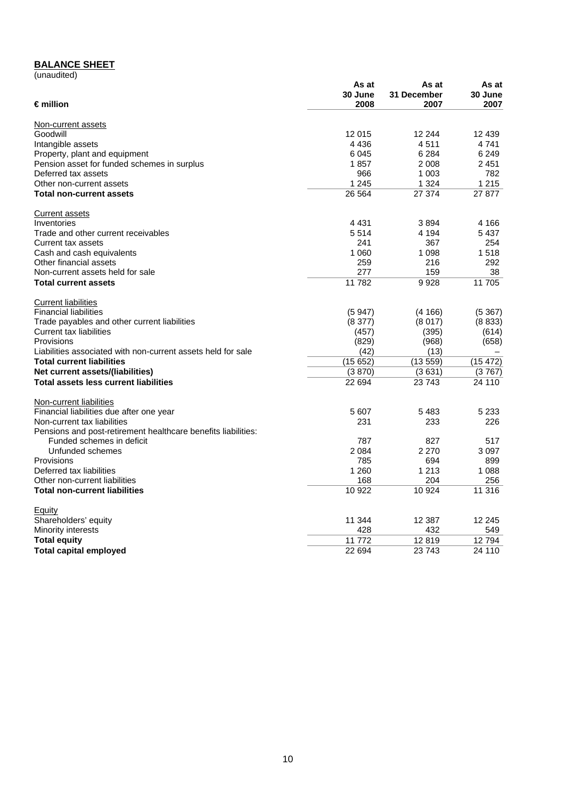# **BALANCE SHEET**

| (unaudited) |
|-------------|
|             |

|                                                               | As at   | As at       | As at    |
|---------------------------------------------------------------|---------|-------------|----------|
|                                                               | 30 June | 31 December | 30 June  |
| $\epsilon$ million                                            | 2008    | 2007        | 2007     |
| Non-current assets                                            |         |             |          |
| Goodwill                                                      | 12 015  | 12 244      | 12 439   |
| Intangible assets                                             | 4 4 3 6 | 4511        | 4741     |
| Property, plant and equipment                                 | 6045    | 6 2 8 4     | 6 2 4 9  |
| Pension asset for funded schemes in surplus                   | 1857    | 2 0 0 8     | 2451     |
| Deferred tax assets                                           | 966     | 1 0 0 3     | 782      |
| Other non-current assets                                      | 1 2 4 5 | 1 3 2 4     | 1 2 1 5  |
| <b>Total non-current assets</b>                               | 26 5 64 | 27 374      | 27 877   |
| Current assets                                                |         |             |          |
| Inventories                                                   | 4 4 3 1 | 3894        | 4 166    |
| Trade and other current receivables                           | 5514    | 4 1 9 4     | 5437     |
| Current tax assets                                            | 241     | 367         | 254      |
| Cash and cash equivalents                                     | 1 0 6 0 | 1 0 9 8     | 1518     |
| Other financial assets                                        | 259     | 216         | 292      |
| Non-current assets held for sale                              | 277     | 159         | 38       |
| <b>Total current assets</b>                                   | 11 782  | 9928        | 11 705   |
| <b>Current liabilities</b>                                    |         |             |          |
| <b>Financial liabilities</b>                                  | (5947)  | (4166)      | (5367)   |
| Trade payables and other current liabilities                  | (8377)  | (8017)      | (8833)   |
| Current tax liabilities                                       | (457)   | (395)       | (614)    |
| Provisions                                                    | (829)   | (968)       | (658)    |
| Liabilities associated with non-current assets held for sale  | (42)    | (13)        |          |
| <b>Total current liabilities</b>                              | (15652) | (13559)     | (15 472) |
| Net current assets/(liabilities)                              | (3870)  | (3631)      | (3767)   |
| <b>Total assets less current liabilities</b>                  | 22 694  | 23743       | 24 110   |
| Non-current liabilities                                       |         |             |          |
| Financial liabilities due after one year                      | 5 607   | 5483        | 5 2 3 3  |
| Non-current tax liabilities                                   | 231     | 233         | 226      |
| Pensions and post-retirement healthcare benefits liabilities: |         |             |          |
| Funded schemes in deficit                                     | 787     | 827         | 517      |
| Unfunded schemes                                              | 2 0 8 4 | 2 2 7 0     | 3097     |
| Provisions                                                    | 785     | 694         | 899      |
| Deferred tax liabilities                                      | 1 2 6 0 | 1 2 1 3     | 1 0 8 8  |
| Other non-current liabilities                                 | 168     | 204         | 256      |
| <b>Total non-current liabilities</b>                          | 10 922  | 10 924      | 11 316   |
| Equity                                                        |         |             |          |
| Shareholders' equity                                          | 11 344  | 12 3 8 7    | 12 245   |
| Minority interests                                            | 428     | 432         | 549      |
| <b>Total equity</b>                                           | 11772   | 12819       | 12794    |
| <b>Total capital employed</b>                                 | 22 694  | 23 743      | 24 110   |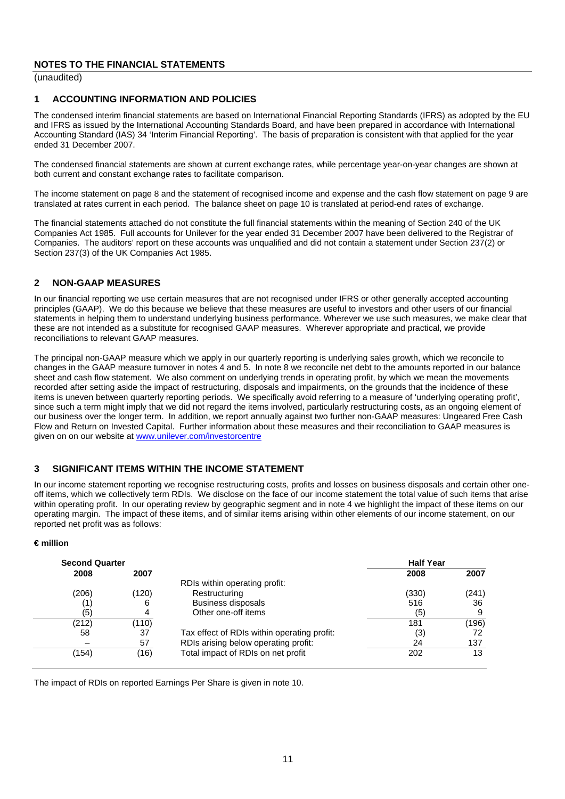(unaudited)

## **1 ACCOUNTING INFORMATION AND POLICIES**

The condensed interim financial statements are based on International Financial Reporting Standards (IFRS) as adopted by the EU and IFRS as issued by the International Accounting Standards Board, and have been prepared in accordance with International Accounting Standard (IAS) 34 'Interim Financial Reporting'. The basis of preparation is consistent with that applied for the year ended 31 December 2007.

The condensed financial statements are shown at current exchange rates, while percentage year-on-year changes are shown at both current and constant exchange rates to facilitate comparison.

The income statement on page 8 and the statement of recognised income and expense and the cash flow statement on page 9 are translated at rates current in each period. The balance sheet on page 10 is translated at period-end rates of exchange.

The financial statements attached do not constitute the full financial statements within the meaning of Section 240 of the UK Companies Act 1985. Full accounts for Unilever for the year ended 31 December 2007 have been delivered to the Registrar of Companies. The auditors' report on these accounts was unqualified and did not contain a statement under Section 237(2) or Section 237(3) of the UK Companies Act 1985.

## **2 NON-GAAP MEASURES**

In our financial reporting we use certain measures that are not recognised under IFRS or other generally accepted accounting principles (GAAP). We do this because we believe that these measures are useful to investors and other users of our financial statements in helping them to understand underlying business performance. Wherever we use such measures, we make clear that these are not intended as a substitute for recognised GAAP measures. Wherever appropriate and practical, we provide reconciliations to relevant GAAP measures.

 The principal non-GAAP measure which we apply in our quarterly reporting is underlying sales growth, which we reconcile to changes in the GAAP measure turnover in notes 4 and 5. In note 8 we reconcile net debt to the amounts reported in our balance sheet and cash flow statement. We also comment on underlying trends in operating profit, by which we mean the movements recorded after setting aside the impact of restructuring, disposals and impairments, on the grounds that the incidence of these items is uneven between quarterly reporting periods. We specifically avoid referring to a measure of 'underlying operating profit', since such a term might imply that we did not regard the items involved, particularly restructuring costs, as an ongoing element of our business over the longer term. In addition, we report annually against two further non-GAAP measures: Ungeared Free Cash Flow and Return on Invested Capital. Further information about these measures and their reconciliation to GAAP measures is given on on our website at www.unilever.com/investorcentre

## **3 SIGNIFICANT ITEMS WITHIN THE INCOME STATEMENT**

 within operating profit. In our operating review by geographic segment and in note 4 we highlight the impact of these items on our In our income statement reporting we recognise restructuring costs, profits and losses on business disposals and certain other oneoff items, which we collectively term RDIs. We disclose on the face of our income statement the total value of such items that arise operating margin. The impact of these items, and of similar items arising within other elements of our income statement, on our reported net profit was as follows:

#### **€ million**

| <b>Second Quarter</b> |       |                                             | <b>Half Year</b> |       |
|-----------------------|-------|---------------------------------------------|------------------|-------|
| 2008                  | 2007  |                                             | 2008             | 2007  |
|                       |       | RDIs within operating profit:               |                  |       |
| (206)                 | (120) | Restructuring                               | (330)            | (241) |
|                       | 6     | <b>Business disposals</b>                   | 516              | 36    |
| (5)                   | 4     | Other one-off items                         | (5)              |       |
| (212)                 | (110) |                                             | 181              | (196) |
| 58                    | 37    | Tax effect of RDIs within operating profit: | (3)              | 72    |
|                       | 57    | RDIs arising below operating profit:        | 24               | 137   |
| (154)                 | (16)  | Total impact of RDIs on net profit          | 202              | 13    |
|                       |       |                                             |                  |       |

The impact of RDIs on reported Earnings Per Share is given in note 10.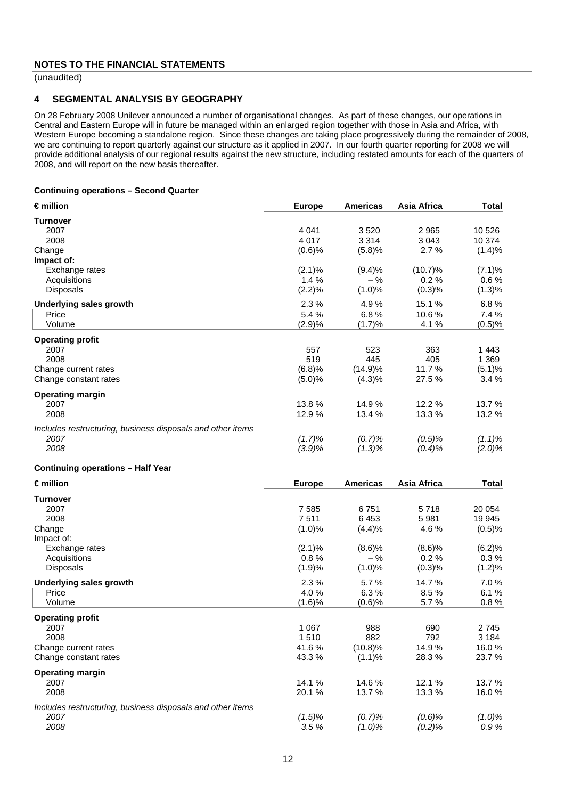(unaudited)

#### **4 SEGMENTAL ANALYSIS BY GEOGRAPHY**

On 28 February 2008 Unilever announced a number of organisational changes. As part of these changes, our operations in Central and Eastern Europe will in future be managed within an enlarged region together with those in Asia and Africa, with Western Europe becoming a standalone region. Since these changes are taking place progressively during the remainder of 2008, we are continuing to report quarterly against our structure as it applied in 2007. In our fourth quarter reporting for 2008 we will provide additional analysis of our regional results against the new structure, including restated amounts for each of the quarters of 2008, and will report on the new basis thereafter.

#### **Continuing operations – Second Quarter**

| $\epsilon$ million                                         | <b>Europe</b>     | <b>Americas</b>    | Asia Africa     | <b>Total</b>    |
|------------------------------------------------------------|-------------------|--------------------|-----------------|-----------------|
| <b>Turnover</b>                                            |                   |                    |                 |                 |
| 2007                                                       | 4 0 4 1           | 3520               | 2 9 6 5         | 10 526          |
| 2008                                                       | 4 0 1 7           | 3 3 1 4            | 3 0 4 3         | 10 374          |
| Change                                                     | (0.6)%            | (5.8)%             | 2.7%            | (1.4)%          |
| Impact of:                                                 |                   |                    |                 |                 |
| Exchange rates                                             | $(2.1)\%$<br>1.4% | (9.4)%<br>$-$ %    | (10.7)%<br>0.2% | (7.1)%<br>0.6%  |
| Acquisitions<br><b>Disposals</b>                           | (2.2)%            | (1.0)%             | (0.3)%          | $(1.3)\%$       |
|                                                            |                   |                    |                 |                 |
| <b>Underlying sales growth</b>                             | 2.3%              | 4.9%               | 15.1 %<br>10.6% | 6.8%<br>7.4%    |
| Price<br>Volume                                            | 5.4 %<br>(2.9)%   | 6.8%<br>(1.7)%     | 4.1%            | (0.5)%          |
|                                                            |                   |                    |                 |                 |
| <b>Operating profit</b>                                    |                   |                    |                 |                 |
| 2007                                                       | 557               | 523                | 363             | 1443            |
| 2008                                                       | 519               | 445                | 405             | 1 3 6 9         |
| Change current rates<br>Change constant rates              | (6.8)%<br>(5.0)%  | (14.9)%<br>(4.3)%  | 11.7%<br>27.5 % | (5.1)%<br>3.4%  |
|                                                            |                   |                    |                 |                 |
| <b>Operating margin</b>                                    |                   |                    |                 |                 |
| 2007                                                       | 13.8%             | 14.9%              | 12.2 %          | 13.7 %          |
| 2008                                                       | 12.9%             | 13.4 %             | 13.3 %          | 13.2 %          |
| Includes restructuring, business disposals and other items |                   |                    |                 |                 |
| 2007                                                       | $(1.7)\%$         | (0.7)%             | $(0.5)\%$       | $(1.1)\%$       |
| 2008                                                       | (3.9)%            | $(1.3)\%$          | $(0.4)\%$       | $(2.0)\%$       |
| <b>Continuing operations - Half Year</b>                   |                   |                    |                 |                 |
| $\epsilon$ million                                         | <b>Europe</b>     | <b>Americas</b>    | Asia Africa     | <b>Total</b>    |
| Turnover                                                   |                   |                    |                 |                 |
| 2007                                                       | 7585              | 6751               | 5718            | 20 054          |
| 2008                                                       | 7511              | 6453               | 5 9 8 1         | 19 945          |
| Change                                                     | (1.0)%            | (4.4)%             | 4.6%            | (0.5)%          |
| Impact of:                                                 |                   |                    |                 |                 |
| Exchange rates                                             | (2.1)%<br>0.8%    | $(8.6)$ %<br>$-$ % | (8.6)%<br>0.2%  | (6.2)%<br>0.3%  |
| Acquisitions<br>Disposals                                  | (1.9)%            | (1.0)%             | (0.3)%          | (1.2)%          |
|                                                            |                   |                    |                 |                 |
| <b>Underlying sales growth</b>                             | 2.3%              | 5.7%               | 14.7%           | 7.0%            |
| Price<br>Volume                                            | 4.0%<br>(1.6)%    | 6.3%<br>(0.6)%     | 8.5%<br>5.7%    | 6.1%<br>0.8%    |
|                                                            |                   |                    |                 |                 |
| <b>Operating profit</b>                                    |                   |                    |                 |                 |
| 2007                                                       | 1 0 6 7           | 988                | 690             | 2 745           |
| 2008                                                       | 1510              | 882                | 792             | 3 1 8 4         |
| Change current rates<br>Change constant rates              | 41.6%<br>43.3%    | (10.8)%<br>(1.1)%  | 14.9%<br>28.3%  | 16.0%<br>23.7 % |
|                                                            |                   |                    |                 |                 |
| <b>Operating margin</b>                                    |                   |                    |                 |                 |
| 2007                                                       | 14.1 %            | 14.6%              | 12.1 %          | 13.7 %          |
| 2008                                                       | 20.1%             | 13.7%              | 13.3 %          | 16.0%           |
| Includes restructuring, business disposals and other items |                   |                    |                 |                 |
| 2007                                                       | $(1.5)\%$         | (0.7)%             | (0.6)%          | $(1.0)\%$       |
| 2008                                                       | 3.5%              | $(1.0)\%$          | (0.2)%          | 0.9%            |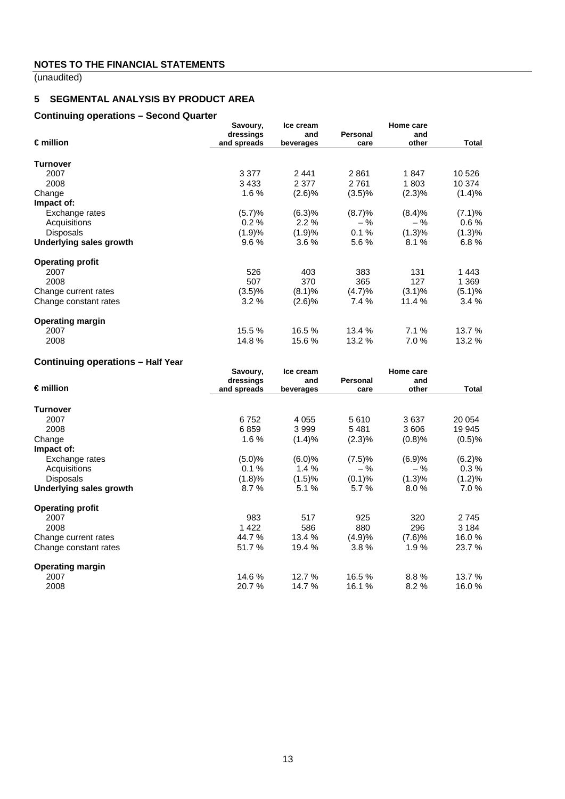(unaudited)

# **5 SEGMENTAL ANALYSIS BY PRODUCT AREA**

#### **Continuing operations – Second Quarter**

|                                | Savoury,    | Ice cream |          | Home care |        |
|--------------------------------|-------------|-----------|----------|-----------|--------|
|                                | dressings   | and       | Personal | and       |        |
| $\epsilon$ million             | and spreads | beverages | care     | other     | Total  |
| <b>Turnover</b>                |             |           |          |           |        |
| 2007                           | 3 3 7 7     | 2441      | 2861     | 1847      | 10 526 |
| 2008                           | 3433        | 2 3 7 7   | 2761     | 1803      | 10 374 |
| Change                         | 1.6%        | (2.6)%    | (3.5)%   | (2.3)%    | (1.4)% |
| Impact of:                     |             |           |          |           |        |
| Exchange rates                 | (5.7)%      | (6.3)%    | (8.7)%   | (8.4)%    | (7.1)% |
| Acquisitions                   | 0.2%        | 2.2%      | $-$ %    | $-$ %     | 0.6%   |
| <b>Disposals</b>               | (1.9)%      | (1.9)%    | 0.1%     | $(1.3)\%$ | (1.3)% |
| <b>Underlying sales growth</b> | 9.6%        | 3.6%      | 5.6%     | 8.1%      | 6.8%   |
| <b>Operating profit</b>        |             |           |          |           |        |
| 2007                           | 526         | 403       | 383      | 131       | 1443   |
| 2008                           | 507         | 370       | 365      | 127       | 1 369  |
| Change current rates           | (3.5)%      | (8.1)%    | (4.7)%   | $(3.1)\%$ | (5.1)% |
| Change constant rates          | 3.2%        | (2.6)%    | 7.4 %    | 11.4%     | 3.4%   |
| <b>Operating margin</b>        |             |           |          |           |        |
| 2007                           | 15.5 %      | 16.5 %    | 13.4 %   | 7.1%      | 13.7 % |
| 2008                           | 14.8%       | 15.6%     | 13.2 %   | 7.0%      | 13.2 % |

# **Continuing operations – Half Year**

|                                | Savoury,    | Ice cream | Home care |        |         |
|--------------------------------|-------------|-----------|-----------|--------|---------|
|                                | dressings   | and       | Personal  | and    |         |
| $\epsilon$ million             | and spreads | beverages | care      | other  | Total   |
| <b>Turnover</b>                |             |           |           |        |         |
| 2007                           | 6752        | 4 0 5 5   | 5610      | 3637   | 20 054  |
| 2008                           | 6859        | 3999      | 5481      | 3 606  | 19 945  |
| Change                         | 1.6%        | (1.4)%    | (2.3)%    | (0.8)% | (0.5)%  |
| Impact of:                     |             |           |           |        |         |
| Exchange rates                 | (5.0)%      | (6.0)%    | (7.5)%    | (6.9)% | (6.2)%  |
| Acquisitions                   | 0.1%        | 1.4%      | $-$ %     | $-$ %  | 0.3%    |
| <b>Disposals</b>               | (1.8)%      | (1.5)%    | (0.1)%    | (1.3)% | (1.2)%  |
| <b>Underlying sales growth</b> | 8.7%        | 5.1%      | 5.7%      | 8.0%   | 7.0 %   |
| <b>Operating profit</b>        |             |           |           |        |         |
| 2007                           | 983         | 517       | 925       | 320    | 2745    |
| 2008                           | 1422        | 586       | 880       | 296    | 3 1 8 4 |
| Change current rates           | 44.7%       | 13.4 %    | (4.9)%    | (7.6)% | 16.0%   |
| Change constant rates          | 51.7 %      | 19.4 %    | $3.8\%$   | 1.9%   | 23.7 %  |
| <b>Operating margin</b>        |             |           |           |        |         |
| 2007                           | 14.6 %      | 12.7 %    | 16.5 %    | 8.8%   | 13.7 %  |
| 2008                           | 20.7 %      | 14.7 %    | 16.1 %    | 8.2%   | 16.0%   |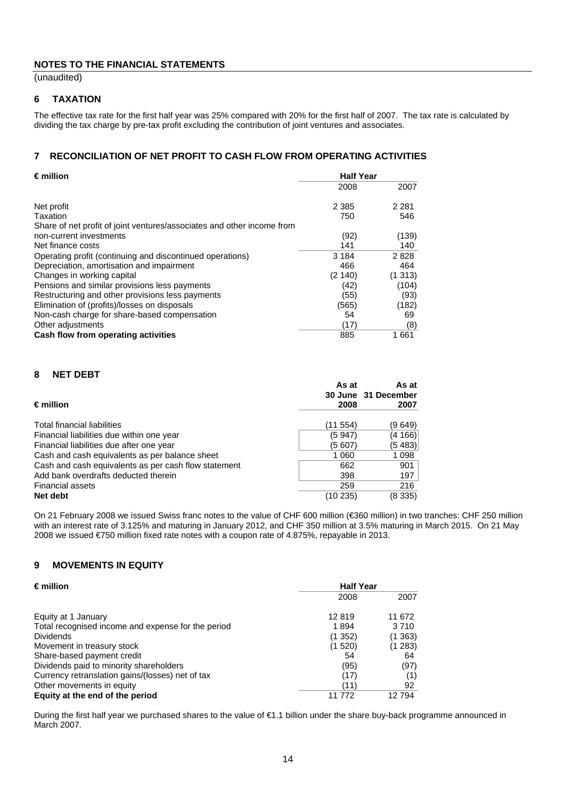(unaudited)

## **6 TAXATION**

The effective tax rate for the first half year was 25% compared with 20% for the first half of 2007. The tax rate is calculated by dividing the tax charge by pre-tax profit excluding the contribution of joint ventures and associates.

## **7 RECONCILIATION OF NET PROFIT TO CASH FLOW FROM OPERATING ACTIVITIES**

| $\epsilon$ million                                                     | <b>Half Year</b> |         |
|------------------------------------------------------------------------|------------------|---------|
|                                                                        | 2008             | 2007    |
| Net profit                                                             | 2 3 8 5          | 2 2 8 1 |
| Taxation                                                               | 750              | 546     |
| Share of net profit of joint ventures/associates and other income from |                  |         |
| non-current investments                                                | (92)             | (139)   |
| Net finance costs                                                      | 141              | 140     |
| Operating profit (continuing and discontinued operations)              | 3 1 8 4          | 2828    |
| Depreciation, amortisation and impairment                              | 466              | 464     |
| Changes in working capital                                             | (2140)           | (1313)  |
| Pensions and similar provisions less payments                          | (42)             | (104)   |
| Restructuring and other provisions less payments                       | (55)             | (93)    |
| Elimination of (profits)/losses on disposals                           | (565)            | (182)   |
| Non-cash charge for share-based compensation                           | 54               | 69      |
| Other adjustments                                                      | (17)             | (8)     |
| Cash flow from operating activities                                    | 885              | 1661    |

#### **8 NET DEBT**

| $\epsilon$ million                                   | As at<br>2008 | As at<br>30 June 31 December<br>2007 |
|------------------------------------------------------|---------------|--------------------------------------|
| Total financial liabilities                          | (11 554)      | (9 649)                              |
| Financial liabilities due within one year            | (5 947)       | (4 166)                              |
| Financial liabilities due after one year             | (5 607)       | (5 483)                              |
| Cash and cash equivalents as per balance sheet       | 1 0 6 0       | 1 0 9 8                              |
| Cash and cash equivalents as per cash flow statement | 662           | 901                                  |
| Add bank overdrafts deducted therein                 | 398           | 197                                  |
| <b>Financial assets</b>                              | 259           | 216                                  |
| Net debt                                             | (10 235)      | (8 335)                              |

On 21 February 2008 we issued Swiss franc notes to the value of CHF 600 million (€360 million) in two tranches: CHF 250 million with an interest rate of 3.125% and maturing in January 2012, and CHF 350 million at 3.5% maturing in March 2015. On 21 May 2008 we issued €750 million fixed rate notes with a coupon rate of 4.875%, repayable in 2013.

#### **9 MOVEMENTS IN EQUITY**

| $\epsilon$ million                                 | <b>Half Year</b> |         |
|----------------------------------------------------|------------------|---------|
|                                                    | 2008             | 2007    |
| Equity at 1 January                                | 12819            | 11 672  |
| Total recognised income and expense for the period | 1894             | 3710    |
| <b>Dividends</b>                                   | (1352)           | (1363)  |
| Movement in treasury stock                         | (1520)           | (1 283) |
| Share-based payment credit                         | 54               | 64      |
| Dividends paid to minority shareholders            | (95)             | (97)    |
| Currency retranslation gains/(losses) net of tax   | (17)             | (1)     |
| Other movements in equity                          | (11)             | 92      |
| Equity at the end of the period                    | 11 772           | 12794   |

During the first half year we purchased shares to the value of €1.1 billion under the share buy-back programme announced in March 2007.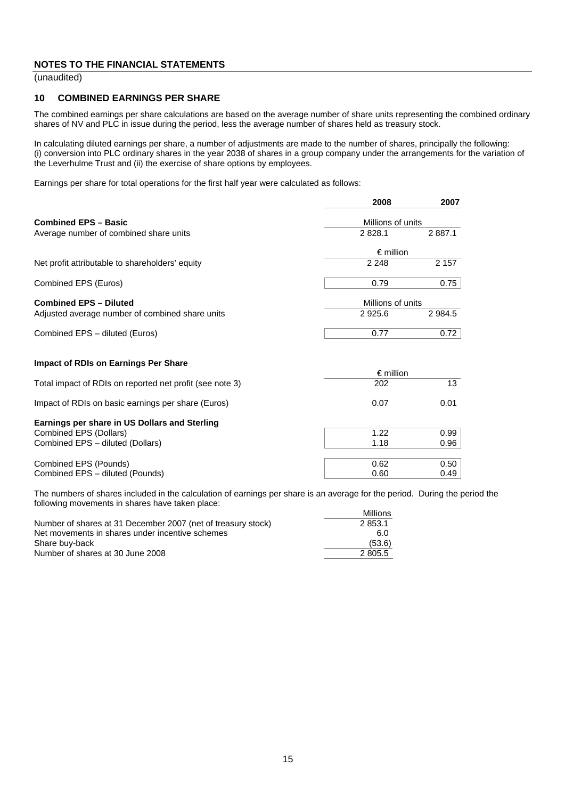(unaudited)

#### **10 COMBINED EARNINGS PER SHARE**

The combined earnings per share calculations are based on the average number of share units representing the combined ordinary shares of NV and PLC in issue during the period, less the average number of shares held as treasury stock.

 In calculating diluted earnings per share, a number of adjustments are made to the number of shares, principally the following: (i) conversion into PLC ordinary shares in the year 2038 of shares in a group company under the arrangements for the variation of the Leverhulme Trust and (ii) the exercise of share options by employees.

Earnings per share for total operations for the first half year were calculated as follows:

|                                                          | 2008               | 2007              |  |
|----------------------------------------------------------|--------------------|-------------------|--|
| <b>Combined EPS - Basic</b>                              |                    | Millions of units |  |
| Average number of combined share units                   | 2828.1             | 2 8 8 7.1         |  |
|                                                          | $\epsilon$ million |                   |  |
| Net profit attributable to shareholders' equity          | 2 2 4 8            | 2 1 5 7           |  |
| Combined EPS (Euros)                                     | 0.79               | 0.75              |  |
| <b>Combined EPS - Diluted</b>                            |                    | Millions of units |  |
| Adjusted average number of combined share units          | 2925.6             | 2 9 8 4 .5        |  |
| Combined EPS - diluted (Euros)                           | 0.77               | 0.72              |  |
| <b>Impact of RDIs on Earnings Per Share</b>              |                    |                   |  |
|                                                          | $\epsilon$ million |                   |  |
| Total impact of RDIs on reported net profit (see note 3) | 202                | 13                |  |
| Impact of RDIs on basic earnings per share (Euros)       | 0.07               | 0.01              |  |
| <b>Earnings per share in US Dollars and Sterling</b>     |                    |                   |  |

| Larrings per share in oo Donars and Otermig |      |      |
|---------------------------------------------|------|------|
| Combined EPS (Dollars)                      | 1.22 | 0.99 |
| Combined EPS - diluted (Dollars)            | 1.18 | 0.96 |
|                                             |      |      |
| Combined EPS (Pounds)                       | 0.62 | 0.50 |
| Combined EPS - diluted (Pounds)             | 0.60 | 0.49 |

The numbers of shares included in the calculation of earnings per share is an average for the period. During the period the following movements in shares have taken place: Millions

|                                                              | <b>IVIIIIIONS</b> |
|--------------------------------------------------------------|-------------------|
| Number of shares at 31 December 2007 (net of treasury stock) | 2853.1            |
| Net movements in shares under incentive schemes              | 6.0               |
| Share buv-back                                               | (53.6)            |
| Number of shares at 30 June 2008                             | 2 805.5           |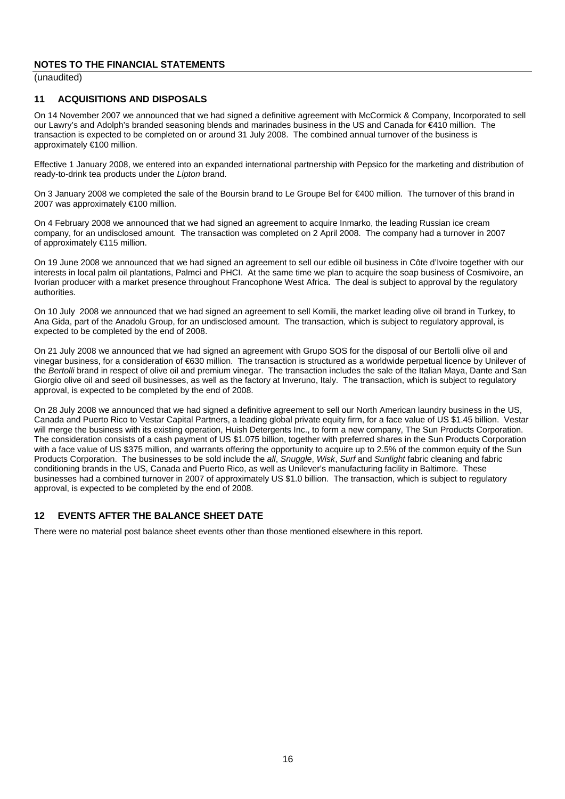(unaudited)

#### **11 ACQUISITIONS AND DISPOSALS**

On 14 November 2007 we announced that we had signed a definitive agreement with McCormick & Company, Incorporated to sell our Lawry's and Adolph's branded seasoning blends and marinades business in the US and Canada for €410 million. The transaction is expected to be completed on or around 31 July 2008. The combined annual turnover of the business is approximately €100 million.

 Effective 1 January 2008, we entered into an expanded international partnership with Pepsico for the marketing and distribution of ready-to-drink tea products under the *Lipton* brand.

On 3 January 2008 we completed the sale of the Boursin brand to Le Groupe Bel for €400 million. The turnover of this brand in 2007 was approximately €100 million.

On 4 February 2008 we announced that we had signed an agreement to acquire Inmarko, the leading Russian ice cream company, for an undisclosed amount. The transaction was completed on 2 April 2008. The company had a turnover in 2007 of approximately €115 million.

On 19 June 2008 we announced that we had signed an agreement to sell our edible oil business in Côte d'Ivoire together with our interests in local palm oil plantations, Palmci and PHCI. At the same time we plan to acquire the soap business of Cosmivoire, an Ivorian producer with a market presence throughout Francophone West Africa. The deal is subject to approval by the regulatory authorities.

On 10 July 2008 we announced that we had signed an agreement to sell Komili, the market leading olive oil brand in Turkey, to Ana Gida, part of the Anadolu Group, for an undisclosed amount. The transaction, which is subject to regulatory approval, is expected to be completed by the end of 2008.

On 21 July 2008 we announced that we had signed an agreement with Grupo SOS for the disposal of our Bertolli olive oil and vinegar business, for a consideration of €630 million. The transaction is structured as a worldwide perpetual licence by Unilever of the *Bertolli* brand in respect of olive oil and premium vinegar. The transaction includes the sale of the Italian Maya, Dante and San Giorgio olive oil and seed oil businesses, as well as the factory at Inveruno, Italy. The transaction, which is subject to regulatory approval, is expected to be completed by the end of 2008.

On 28 July 2008 we announced that we had signed a definitive agreement to sell our North American laundry business in the US, Canada and Puerto Rico to Vestar Capital Partners, a leading global private equity firm, for a face value of US \$1.45 billion. Vestar will merge the business with its existing operation, Huish Detergents Inc., to form a new company, The Sun Products Corporation. The consideration consists of a cash payment of US \$1.075 billion, together with preferred shares in the Sun Products Corporation with a face value of US \$375 million, and warrants offering the opportunity to acquire up to 2.5% of the common equity of the Sun Products Corporation. The businesses to be sold include the *all*, *Snuggle*, *Wisk*, *Surf* and *Sunlight* fabric cleaning and fabric conditioning brands in the US, Canada and Puerto Rico, as well as Unilever's manufacturing facility in Baltimore. These businesses had a combined turnover in 2007 of approximately US \$1.0 billion. The transaction, which is subject to regulatory approval, is expected to be completed by the end of 2008.

## **12 EVENTS AFTER THE BALANCE SHEET DATE**

There were no material post balance sheet events other than those mentioned elsewhere in this report.